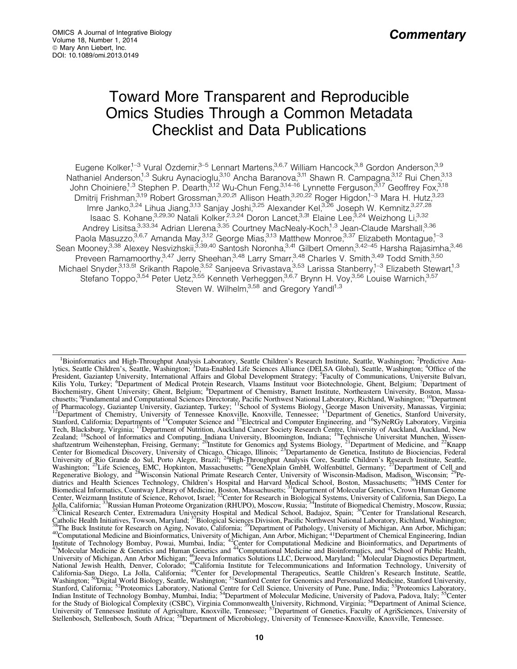# **Toward More Transparent and Reproducible** Omics Studies Through a Common Metadata **Checklist and Data Publications**

Eugene Kolker<sup>1,-3</sup> Vural Özdemir,<sup>3-5</sup> Lennart Martens,<sup>3,6,7</sup> William Hancock,<sup>3,8</sup> Gordon Anderson,<sup>3,9</sup><br>Mathaniel Anderson,<sup>1,3</sup> Sukru Aynacioglu,<sup>3,10</sup> Ancha Baranova,<sup>3,11</sup> Shawn R. Campagna,<sup>3,12</sup> Rui Chen,<sup>313</sup><br>Jo

<sup>&</sup>lt;sup>1</sup>Bioinformatics and High-Throughput Analysis Laboratory, Seattle Children's Research Institute, Seattle, Washington; <sup>2</sup>Predictive Analytics, Seattle Children's, Seattle, Washington; <sup>3</sup>Data-Enabled Life Sciences Alliance (DELSA Global), Seattle, Washington; <sup>4</sup>Office of the President, Gaziantep University, International Affairs and Global Development Strategy; <sup>5</sup>Faculty of Communications, Universite Bulvari, Kilis Yolu, Turkey; <sup>6</sup>Department of Medical Protein Research, Vlaams Instituut voor Biotechnologie, Ghent, Belgium; <sup>7</sup>Department of Biochemistry, Ghent University; Ghent, Belgium; <sup>8</sup>Department of Chemistry, Barnett Institute, Northeastern University, Boston, Massa-Business, Pundamental and Computational Sciences Directorate, Pacific Northwest National Laboratory, Richland, Washington; <sup>10</sup>Department<br>of Pharmacology, Gaziantep University, Gaziantep, Turkey; <sup>11</sup>School of Systems Biol Stanford, California; Departments of "Computer Science and "Electrical and Computer Engineering, and "SyNeKGy Laboratory, virginia Tech, Blacksburg, Virginia; <sup>17</sup>Department of Nutrition, Auckland Cancer Society Research Center, Weizmann Institute of Science, Rehovot, Israel; <sup>32</sup>Center for Research in Biological Systems, University of California, San Diego, La Louis, Welfmann Brother, Extremadura University Hospital and Medical School, Bassia; 34Institute of Biomedical Chemistry, Moscow, Russia; 35Clinical Research and Demistry, Moscow, Russia; 35Clinical Research Center, Extrem The Buck Institute for Research on Aging, Novato, California; <sup>39</sup>Department of Pathology, University of Michigan, Ann Arbor, Michigan; <sup>36</sup>The Buck Institute for Research on Aging, Novato, California; "Department of Pathology, University of Michigan, Ann Arbor, Michigan, 40<br>
<sup>40</sup>Computational Medicine and Bioinformatics, University of Michigan, Ann Arbor Vashington; <sup>50</sup>Digital World Biology, Seattle, Washington; <sup>51</sup>Stanford Center for Genomics and Personalized Medicine, Stanford University, Stanford, California; <sup>52</sup>Proteomics Laboratory, National Center for Gell Science The Study of Biological Complexity (CSBC), Virginia Commonwealth University, Richmond, Virginia; <sup>56</sup>Department of Animal Science, University of Tennessee Institute of Agriculture, Knoxville, Tennessee; <sup>57</sup>Department of G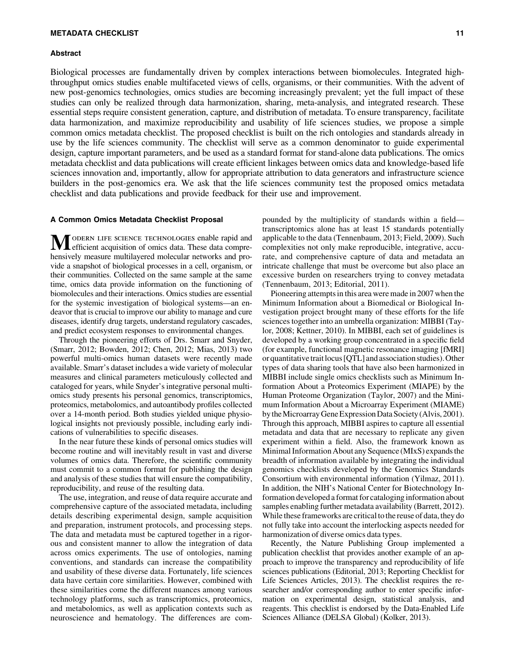# METADATA CHECKLIST 11

#### Abstract

Biological processes are fundamentally driven by complex interactions between biomolecules. Integrated highthroughput omics studies enable multifaceted views of cells, organisms, or their communities. With the advent of new post-genomics technologies, omics studies are becoming increasingly prevalent; yet the full impact of these studies can only be realized through data harmonization, sharing, meta-analysis, and integrated research. These essential steps require consistent generation, capture, and distribution of metadata. To ensure transparency, facilitate data harmonization, and maximize reproducibility and usability of life sciences studies, we propose a simple common omics metadata checklist. The proposed checklist is built on the rich ontologies and standards already in use by the life sciences community. The checklist will serve as a common denominator to guide experimental design, capture important parameters, and be used as a standard format for stand-alone data publications. The omics metadata checklist and data publications will create efficient linkages between omics data and knowledge-based life sciences innovation and, importantly, allow for appropriate attribution to data generators and infrastructure science builders in the post-genomics era. We ask that the life sciences community test the proposed omics metadata checklist and data publications and provide feedback for their use and improvement.

### A Common Omics Metadata Checklist Proposal

MODERN LIFE SCIENCE TECHNOLOGIES enable rapid and efficient acquisition of omics data. These data comprehensively measure multilayered molecular networks and provide a snapshot of biological processes in a cell, organism, or their communities. Collected on the same sample at the same time, omics data provide information on the functioning of biomolecules and their interactions. Omics studies are essential for the systemic investigation of biological systems—an endeavor that is crucial to improve our ability to manage and cure diseases, identify drug targets, understand regulatory cascades, and predict ecosystem responses to environmental changes.

Through the pioneering efforts of Drs. Smarr and Snyder, (Smarr, 2012; Bowden, 2012; Chen, 2012; Mias, 2013) two powerful multi-omics human datasets were recently made available. Smarr's dataset includes a wide variety of molecular measures and clinical parameters meticulously collected and cataloged for years, while Snyder's integrative personal multiomics study presents his personal genomics, transcriptomics, proteomics, metabolomics, and autoantibody profiles collected over a 14-month period. Both studies yielded unique physiological insights not previously possible, including early indications of vulnerabilities to specific diseases.

In the near future these kinds of personal omics studies will become routine and will inevitably result in vast and diverse volumes of omics data. Therefore, the scientific community must commit to a common format for publishing the design and analysis of these studies that will ensure the compatibility, reproducibility, and reuse of the resulting data.

The use, integration, and reuse of data require accurate and comprehensive capture of the associated metadata, including details describing experimental design, sample acquisition and preparation, instrument protocols, and processing steps. The data and metadata must be captured together in a rigorous and consistent manner to allow the integration of data across omics experiments. The use of ontologies, naming conventions, and standards can increase the compatibility and usability of these diverse data. Fortunately, life sciences data have certain core similarities. However, combined with these similarities come the different nuances among various technology platforms, such as transcriptomics, proteomics, and metabolomics, as well as application contexts such as neuroscience and hematology. The differences are com-

pounded by the multiplicity of standards within a field transcriptomics alone has at least 15 standards potentially applicable to the data (Tennenbaum, 2013; Field, 2009). Such complexities not only make reproducible, integrative, accurate, and comprehensive capture of data and metadata an intricate challenge that must be overcome but also place an excessive burden on researchers trying to convey metadata (Tennenbaum, 2013; Editorial, 2011).

Pioneering attempts in this area were made in 2007 when the Minimum Information about a Biomedical or Biological Investigation project brought many of these efforts for the life sciences together into an umbrella organization: MIBBI (Taylor, 2008; Kettner, 2010). In MIBBI, each set of guidelines is developed by a working group concentrated in a specific field (for example, functional magnetic resonance imaging [fMRI] or quantitative trait locus [QTL] and association studies). Other types of data sharing tools that have also been harmonized in MIBBI include single omics checklists such as Minimum Information About a Proteomics Experiment (MIAPE) by the Human Proteome Organization (Taylor, 2007) and the Minimum Information About a Microarray Experiment (MIAME) bytheMicroarrayGeneExpressionDataSociety(Alvis,2001). Through this approach, MIBBI aspires to capture all essential metadata and data that are necessary to replicate any given experiment within a field. Also, the framework known as Minimal Information About any Sequence (MIxS) expands the breadth of information available by integrating the individual genomics checklists developed by the Genomics Standards Consortium with environmental information (Yilmaz, 2011). In addition, the NIH's National Center for Biotechnology Information developed a format for cataloging information about samples enabling further metadata availability (Barrett, 2012). While these frameworks are critical to the reuse of data, they do not fully take into account the interlocking aspects needed for harmonization of diverse omics data types.

Recently, the Nature Publishing Group implemented a publication checklist that provides another example of an approach to improve the transparency and reproducibility of life sciences publications (Editorial, 2013; Reporting Checklist for Life Sciences Articles, 2013). The checklist requires the researcher and/or corresponding author to enter specific information on experimental design, statistical analysis, and reagents. This checklist is endorsed by the Data-Enabled Life Sciences Alliance (DELSA Global) (Kolker, 2013).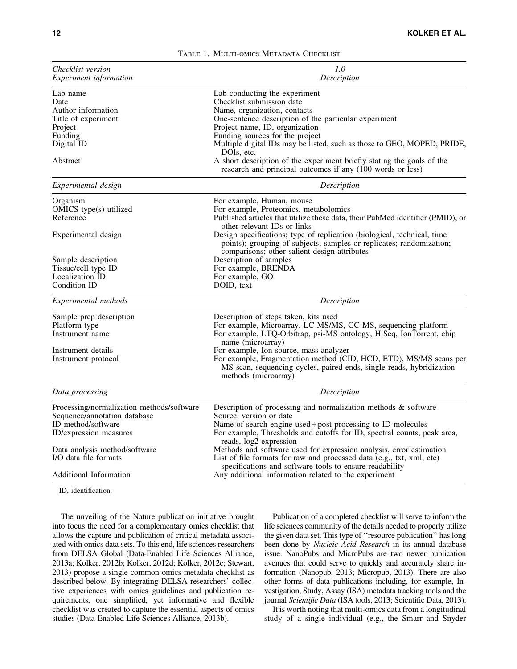| Checklist version<br>Experiment information                                                                               | 1.0<br>Description                                                                                                                                                                                                                                                                                                                                                                                                                                        |  |  |
|---------------------------------------------------------------------------------------------------------------------------|-----------------------------------------------------------------------------------------------------------------------------------------------------------------------------------------------------------------------------------------------------------------------------------------------------------------------------------------------------------------------------------------------------------------------------------------------------------|--|--|
| Lab name<br>Date<br>Author information<br>Title of experiment<br>Project<br>Funding<br>Digital ID<br>Abstract             | Lab conducting the experiment<br>Checklist submission date<br>Name, organization, contacts<br>One-sentence description of the particular experiment<br>Project name, ID, organization<br>Funding sources for the project<br>Multiple digital IDs may be listed, such as those to GEO, MOPED, PRIDE,<br>DOIs, etc.<br>A short description of the experiment briefly stating the goals of the<br>research and principal outcomes if any (100 words or less) |  |  |
| Experimental design                                                                                                       | Description                                                                                                                                                                                                                                                                                                                                                                                                                                               |  |  |
| Organism<br>OMICS type(s) utilized<br>Reference                                                                           | For example, Human, mouse<br>For example, Proteomics, metabolomics<br>Published articles that utilize these data, their PubMed identifier (PMID), or<br>other relevant IDs or links                                                                                                                                                                                                                                                                       |  |  |
| Experimental design                                                                                                       | Design specifications; type of replication (biological, technical, time<br>points); grouping of subjects; samples or replicates; randomization;<br>comparisons; other salient design attributes                                                                                                                                                                                                                                                           |  |  |
| Sample description                                                                                                        | Description of samples                                                                                                                                                                                                                                                                                                                                                                                                                                    |  |  |
| Tissue/cell type ID<br>Localization ID                                                                                    | For example, BRENDA<br>For example, GO                                                                                                                                                                                                                                                                                                                                                                                                                    |  |  |
| Condition ID                                                                                                              | DOID, text                                                                                                                                                                                                                                                                                                                                                                                                                                                |  |  |
| Experimental methods                                                                                                      | Description                                                                                                                                                                                                                                                                                                                                                                                                                                               |  |  |
| Sample prep description<br>Platform type<br>Instrument name                                                               | Description of steps taken, kits used<br>For example, Microarray, LC-MS/MS, GC-MS, sequencing platform<br>For example, LTQ-Orbitrap, psi-MS ontology, HiSeq, IonTorrent, chip<br>name (microarray)                                                                                                                                                                                                                                                        |  |  |
| Instrument details<br>Instrument protocol                                                                                 | For example, Ion source, mass analyzer<br>For example, Fragmentation method (CID, HCD, ETD), MS/MS scans per<br>MS scan, sequencing cycles, paired ends, single reads, hybridization<br>methods (microarray)                                                                                                                                                                                                                                              |  |  |
| Data processing                                                                                                           | Description                                                                                                                                                                                                                                                                                                                                                                                                                                               |  |  |
| Processing/normalization methods/software<br>Sequence/annotation database<br>ID method/software<br>ID/expression measures | Description of processing and normalization methods $\&$ software<br>Source, version or date<br>Name of search engine used + post processing to ID molecules<br>For example, Thresholds and cutoffs for ID, spectral counts, peak area,<br>reads, log2 expression                                                                                                                                                                                         |  |  |
| Data analysis method/software<br>I/O data file formats                                                                    | Methods and software used for expression analysis, error estimation<br>List of file formats for raw and processed data (e.g., txt, xml, etc)<br>specifications and software tools to ensure readability                                                                                                                                                                                                                                                   |  |  |
| Additional Information                                                                                                    | Any additional information related to the experiment                                                                                                                                                                                                                                                                                                                                                                                                      |  |  |

|  | TABLE 1. MULTI-OMICS METADATA CHECKLIST |  |
|--|-----------------------------------------|--|
|  |                                         |  |

ID, identification.

The unveiling of the Nature publication initiative brought into focus the need for a complementary omics checklist that allows the capture and publication of critical metadata associated with omics data sets. To this end, life sciences researchers from DELSA Global (Data-Enabled Life Sciences Alliance, 2013a; Kolker, 2012b; Kolker, 2012d; Kolker, 2012c; Stewart, 2013) propose a single common omics metadata checklist as described below. By integrating DELSA researchers' collective experiences with omics guidelines and publication requirements, one simplified, yet informative and flexible checklist was created to capture the essential aspects of omics studies (Data-Enabled Life Sciences Alliance, 2013b).

Publication of a completed checklist will serve to inform the life sciences community of the details needed to properly utilize the given data set. This type of ''resource publication'' has long been done by *Nucleic Acid Research* in its annual database issue. NanoPubs and MicroPubs are two newer publication avenues that could serve to quickly and accurately share information (Nanopub, 2013; Micropub, 2013). There are also other forms of data publications including, for example, Investigation, Study, Assay (ISA) metadata tracking tools and the journal *Scientific Data* (ISA tools, 2013; Scientific Data, 2013).

It is worth noting that multi-omics data from a longitudinal study of a single individual (e.g., the Smarr and Snyder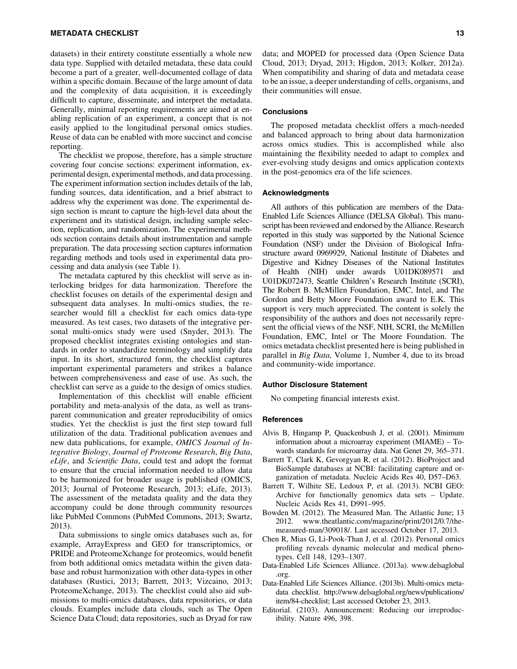datasets) in their entirety constitute essentially a whole new data type. Supplied with detailed metadata, these data could become a part of a greater, well-documented collage of data within a specific domain. Because of the large amount of data and the complexity of data acquisition, it is exceedingly difficult to capture, disseminate, and interpret the metadata. Generally, minimal reporting requirements are aimed at enabling replication of an experiment, a concept that is not easily applied to the longitudinal personal omics studies. Reuse of data can be enabled with more succinct and concise reporting.

The checklist we propose, therefore, has a simple structure covering four concise sections: experiment information, experimental design, experimental methods, and data processing. The experiment information section includes details of the lab, funding sources, data identification, and a brief abstract to address why the experiment was done. The experimental design section is meant to capture the high-level data about the experiment and its statistical design, including sample selection, replication, and randomization. The experimental methods section contains details about instrumentation and sample preparation. The data processing section captures information regarding methods and tools used in experimental data processing and data analysis (see Table 1).

The metadata captured by this checklist will serve as interlocking bridges for data harmonization. Therefore the checklist focuses on details of the experimental design and subsequent data analyses. In multi-omics studies, the researcher would fill a checklist for each omics data-type measured. As test cases, two datasets of the integrative personal multi-omics study were used (Snyder, 2013). The proposed checklist integrates existing ontologies and standards in order to standardize terminology and simplify data input. In its short, structured form, the checklist captures important experimental parameters and strikes a balance between comprehensiveness and ease of use. As such, the checklist can serve as a guide to the design of omics studies.

Implementation of this checklist will enable efficient portability and meta-analysis of the data, as well as transparent communication and greater reproducibility of omics studies. Yet the checklist is just the first step toward full utilization of the data. Traditional publication avenues and new data publications, for example, *OMICS Journal of Integrative Biology*, *Journal of Proteome Research*, *Big Data*, *eLife*, and *Scientific Data*, could test and adopt the format to ensure that the crucial information needed to allow data to be harmonized for broader usage is published (OMICS, 2013; Journal of Proteome Research, 2013; eLife, 2013). The assessment of the metadata quality and the data they accompany could be done through community resources like PubMed Commons (PubMed Commons, 2013; Swartz, 2013).

Data submissions to single omics databases such as, for example, ArrayExpress and GEO for transcriptomics, or PRIDE and ProteomeXchange for proteomics, would benefit from both additional omics metadata within the given database and robust harmonization with other data-types in other databases (Rustici, 2013; Barrett, 2013; Vizcaino, 2013; ProteomeXchange, 2013). The checklist could also aid submissions to multi-omics databases, data repositories, or data clouds. Examples include data clouds, such as The Open Science Data Cloud; data repositories, such as Dryad for raw data; and MOPED for processed data (Open Science Data Cloud, 2013; Dryad, 2013; Higdon, 2013; Kolker, 2012a). When compatibility and sharing of data and metadata cease to be an issue, a deeper understanding of cells, organisms, and their communities will ensue.

# **Conclusions**

The proposed metadata checklist offers a much-needed and balanced approach to bring about data harmonization across omics studies. This is accomplished while also maintaining the flexibility needed to adapt to complex and ever-evolving study designs and omics application contexts in the post-genomics era of the life sciences.

### Acknowledgments

All authors of this publication are members of the Data-Enabled Life Sciences Alliance (DELSA Global). This manuscript has been reviewed and endorsed by the Alliance. Research reported in this study was supported by the National Science Foundation (NSF) under the Division of Biological Infrastructure award 0969929, National Institute of Diabetes and Digestive and Kidney Diseases of the National Institutes of Health (NIH) under awards U01DK089571 and U01DK072473, Seattle Children's Research Institute (SCRI), The Robert B. McMillen Foundation, EMC, Intel, and The Gordon and Betty Moore Foundation award to E.K. This support is very much appreciated. The content is solely the responsibility of the authors and does not necessarily represent the official views of the NSF, NIH, SCRI, the McMillen Foundation, EMC, Intel or The Moore Foundation. The omics metadata checklist presented here is being published in parallel in *Big Data,* Volume 1, Number 4, due to its broad and community-wide importance.

## Author Disclosure Statement

No competing financial interests exist.

## **References**

- Alvis B, Hingamp P, Quackenbush J, et al. (2001). Minimum information about a microarray experiment (MIAME) – Towards standards for microarray data. Nat Genet 29, 365–371.
- Barrett T, Clark K, Gevorgyan R, et al. (2012). BioProject and BioSample databases at NCBI: facilitating capture and organization of metadata. Nucleic Acids Res 40, D57–D63.
- Barrett T, Wilhite SE, Ledoux P, et al. (2013). NCBI GEO: Archive for functionally genomics data sets – Update. Nucleic Acids Res 41, D991–995.
- Bowden M. (2012). The Measured Man. The Atlantic June; 13 2012. www.theatlantic.com/magazine/print/2012/0.7/themeasured-man/309018/. Last accessed October 17, 2013.
- Chen R, Mias G, Li-Pook-Than J, et al. (2012). Personal omics profiling reveals dynamic molecular and medical phenotypes. Cell 148, 1293–1307.
- Data-Enabled Life Sciences Alliance. (2013a). www.delsaglobal .org.
- Data-Enabled Life Sciences Alliance. (2013b). Multi-omics metadata checklist. http://www.delsaglobal.org/news/publications/ item/84-checklist; Last accessed October 23, 2013.
- Editorial. (2103). Announcement: Reducing our irreproducibility. Nature 496, 398.